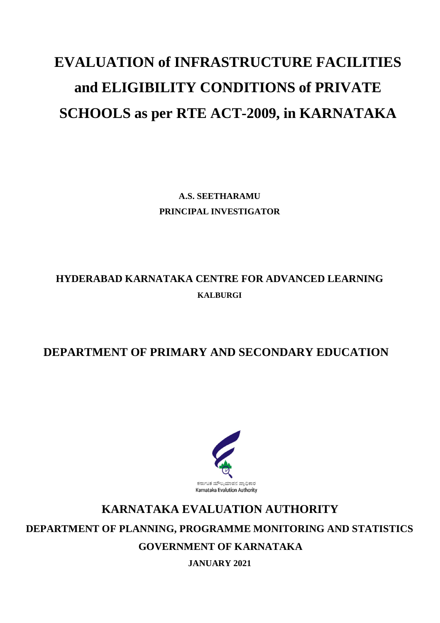# **EVALUATION of INFRASTRUCTURE FACILITIES and ELIGIBILITY CONDITIONS of PRIVATE SCHOOLS as per RTE ACT-2009, in KARNATAKA**

**A.S. SEETHARAMU PRINCIPAL INVESTIGATOR**

## **HYDERABAD KARNATAKA CENTRE FOR ADVANCED LEARNING KALBURGI**

### **DEPARTMENT OF PRIMARY AND SECONDARY EDUCATION**



## **KARNATAKA EVALUATION AUTHORITY DEPARTMENT OF PLANNING, PROGRAMME MONITORING AND STATISTICS GOVERNMENT OF KARNATAKA**

**JANUARY 2021**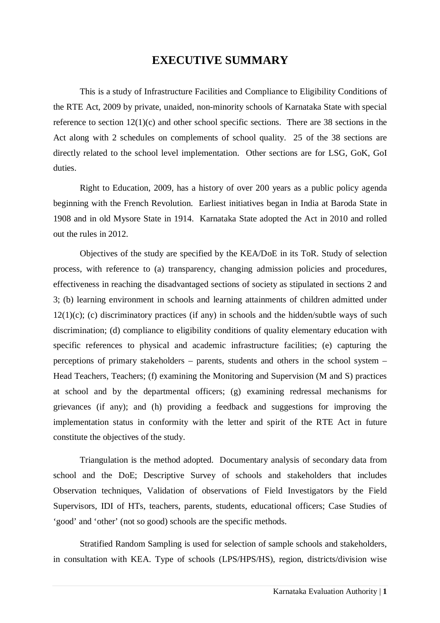#### **EXECUTIVE SUMMARY**

This is a study of Infrastructure Facilities and Compliance to Eligibility Conditions of the RTE Act, 2009 by private, unaided, non-minority schools of Karnataka State with special reference to section 12(1)(c) and other school specific sections. There are 38 sections in the Act along with 2 schedules on complements of school quality. 25 of the 38 sections are directly related to the school level implementation. Other sections are for LSG, GoK, GoI duties.

Right to Education, 2009, has a history of over 200 years as a public policy agenda beginning with the French Revolution. Earliest initiatives began in India at Baroda State in 1908 and in old Mysore State in 1914. Karnataka State adopted the Act in 2010 and rolled out the rules in 2012.

Objectives of the study are specified by the KEA/DoE in its ToR. Study of selection process, with reference to (a) transparency, changing admission policies and procedures, effectiveness in reaching the disadvantaged sections of society as stipulated in sections 2 and 3; (b) learning environment in schools and learning attainments of children admitted under  $12(1)(c)$ ; (c) discriminatory practices (if any) in schools and the hidden/subtle ways of such discrimination; (d) compliance to eligibility conditions of quality elementary education with specific references to physical and academic infrastructure facilities; (e) capturing the perceptions of primary stakeholders – parents, students and others in the school system – Head Teachers, Teachers; (f) examining the Monitoring and Supervision (M and S) practices at school and by the departmental officers; (g) examining redressal mechanisms for grievances (if any); and (h) providing a feedback and suggestions for improving the implementation status in conformity with the letter and spirit of the RTE Act in future constitute the objectives of the study.

Triangulation is the method adopted. Documentary analysis of secondary data from school and the DoE; Descriptive Survey of schools and stakeholders that includes Observation techniques, Validation of observations of Field Investigators by the Field Supervisors, IDI of HTs, teachers, parents, students, educational officers; Case Studies of 'good' and 'other' (not so good) schools are the specific methods.

Stratified Random Sampling is used for selection of sample schools and stakeholders, in consultation with KEA. Type of schools (LPS/HPS/HS), region, districts/division wise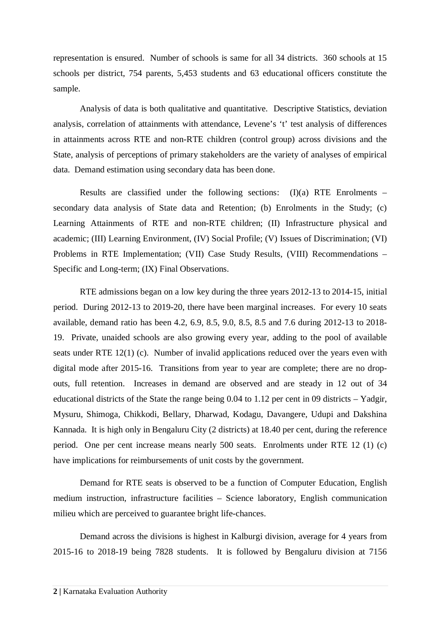representation is ensured. Number of schools is same for all 34 districts. 360 schools at 15 schools per district, 754 parents, 5,453 students and 63 educational officers constitute the sample.

Analysis of data is both qualitative and quantitative. Descriptive Statistics, deviation analysis, correlation of attainments with attendance, Levene's 't' test analysis of differences in attainments across RTE and non-RTE children (control group) across divisions and the State, analysis of perceptions of primary stakeholders are the variety of analyses of empirical data. Demand estimation using secondary data has been done.

Results are classified under the following sections:  $(I)(a)$  RTE Enrolments – secondary data analysis of State data and Retention; (b) Enrolments in the Study; (c) Learning Attainments of RTE and non-RTE children; (II) Infrastructure physical and academic; (III) Learning Environment, (IV) Social Profile; (V) Issues of Discrimination; (VI) Problems in RTE Implementation; (VII) Case Study Results, (VIII) Recommendations – Specific and Long-term; (IX) Final Observations.

RTE admissions began on a low key during the three years 2012-13 to 2014-15, initial period. During 2012-13 to 2019-20, there have been marginal increases. For every 10 seats available, demand ratio has been 4.2, 6.9, 8.5, 9.0, 8.5, 8.5 and 7.6 during 2012-13 to 2018- 19. Private, unaided schools are also growing every year, adding to the pool of available seats under RTE 12(1) (c). Number of invalid applications reduced over the years even with digital mode after 2015-16. Transitions from year to year are complete; there are no dropouts, full retention. Increases in demand are observed and are steady in 12 out of 34 educational districts of the State the range being 0.04 to 1.12 per cent in 09 districts – Yadgir, Mysuru, Shimoga, Chikkodi, Bellary, Dharwad, Kodagu, Davangere, Udupi and Dakshina Kannada. It is high only in Bengaluru City (2 districts) at 18.40 per cent, during the reference period. One per cent increase means nearly 500 seats. Enrolments under RTE 12 (1) (c) have implications for reimbursements of unit costs by the government.

Demand for RTE seats is observed to be a function of Computer Education, English medium instruction, infrastructure facilities – Science laboratory, English communication milieu which are perceived to guarantee bright life-chances.

Demand across the divisions is highest in Kalburgi division, average for 4 years from 2015-16 to 2018-19 being 7828 students. It is followed by Bengaluru division at 7156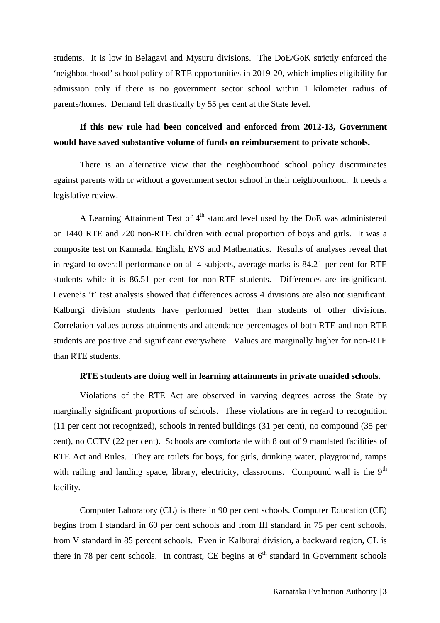students. It is low in Belagavi and Mysuru divisions. The DoE/GoK strictly enforced the 'neighbourhood' school policy of RTE opportunities in 2019-20, which implies eligibility for admission only if there is no government sector school within 1 kilometer radius of parents/homes. Demand fell drastically by 55 per cent at the State level.

#### **If this new rule had been conceived and enforced from 2012-13, Government would have saved substantive volume of funds on reimbursement to private schools.**

There is an alternative view that the neighbourhood school policy discriminates against parents with or without a government sector school in their neighbourhood. It needs a legislative review.

A Learning Attainment Test of  $4<sup>th</sup>$  standard level used by the DoE was administered on 1440 RTE and 720 non-RTE children with equal proportion of boys and girls. It was a composite test on Kannada, English, EVS and Mathematics. Results of analyses reveal that in regard to overall performance on all 4 subjects, average marks is 84.21 per cent for RTE students while it is 86.51 per cent for non-RTE students. Differences are insignificant. Levene's 't' test analysis showed that differences across 4 divisions are also not significant. Kalburgi division students have performed better than students of other divisions. Correlation values across attainments and attendance percentages of both RTE and non-RTE students are positive and significant everywhere. Values are marginally higher for non-RTE than RTE students.

#### **RTE students are doing well in learning attainments in private unaided schools.**

Violations of the RTE Act are observed in varying degrees across the State by marginally significant proportions of schools. These violations are in regard to recognition (11 per cent not recognized), schools in rented buildings (31 per cent), no compound (35 per cent), no CCTV (22 per cent). Schools are comfortable with 8 out of 9 mandated facilities of RTE Act and Rules. They are toilets for boys, for girls, drinking water, playground, ramps with railing and landing space, library, electricity, classrooms. Compound wall is the  $9<sup>th</sup>$ facility.

Computer Laboratory (CL) is there in 90 per cent schools. Computer Education (CE) begins from I standard in 60 per cent schools and from III standard in 75 per cent schools, from V standard in 85 percent schools. Even in Kalburgi division, a backward region, CL is there in 78 per cent schools. In contrast, CE begins at  $6<sup>th</sup>$  standard in Government schools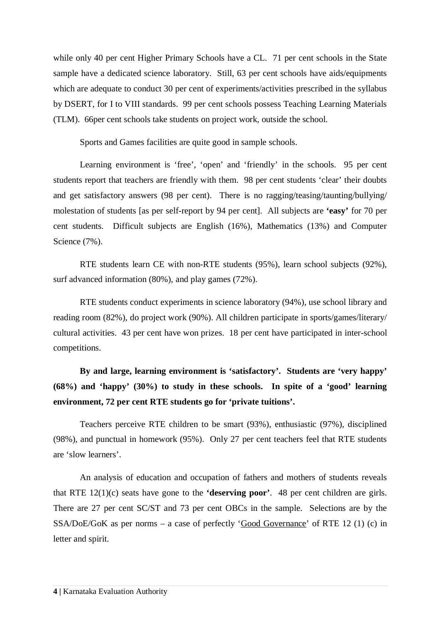while only 40 per cent Higher Primary Schools have a CL. 71 per cent schools in the State sample have a dedicated science laboratory. Still, 63 per cent schools have aids/equipments which are adequate to conduct 30 per cent of experiments/activities prescribed in the syllabus by DSERT, for I to VIII standards. 99 per cent schools possess Teaching Learning Materials (TLM). 66per cent schools take students on project work, outside the school.

Sports and Games facilities are quite good in sample schools.

Learning environment is 'free', 'open' and 'friendly' in the schools. 95 per cent students report that teachers are friendly with them. 98 per cent students 'clear' their doubts and get satisfactory answers (98 per cent). There is no ragging/teasing/taunting/bullying/ molestation of students [as per self-report by 94 per cent]. All subjects are **'easy'** for 70 per cent students. Difficult subjects are English (16%), Mathematics (13%) and Computer Science (7%).

RTE students learn CE with non-RTE students (95%), learn school subjects (92%), surf advanced information (80%), and play games (72%).

RTE students conduct experiments in science laboratory (94%), use school library and reading room (82%), do project work (90%). All children participate in sports/games/literary/ cultural activities. 43 per cent have won prizes. 18 per cent have participated in inter-school competitions.

#### **By and large, learning environment is 'satisfactory'. Students are 'very happy' (68%) and 'happy' (30%) to study in these schools. In spite of a 'good' learning environment, 72 per cent RTE students go for 'private tuitions'.**

Teachers perceive RTE children to be smart (93%), enthusiastic (97%), disciplined (98%), and punctual in homework (95%). Only 27 per cent teachers feel that RTE students are 'slow learners'.

An analysis of education and occupation of fathers and mothers of students reveals that RTE 12(1)(c) seats have gone to the **'deserving poor'**. 48 per cent children are girls. There are 27 per cent SC/ST and 73 per cent OBCs in the sample. Selections are by the SSA/DoE/GoK as per norms – a case of perfectly 'Good Governance' of RTE 12 (1) (c) in letter and spirit.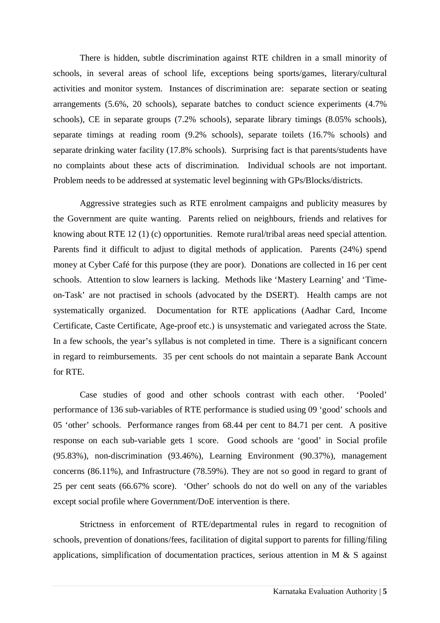There is hidden, subtle discrimination against RTE children in a small minority of schools, in several areas of school life, exceptions being sports/games, literary/cultural activities and monitor system. Instances of discrimination are: separate section or seating arrangements (5.6%, 20 schools), separate batches to conduct science experiments (4.7% schools), CE in separate groups (7.2% schools), separate library timings (8.05% schools), separate timings at reading room (9.2% schools), separate toilets (16.7% schools) and separate drinking water facility (17.8% schools). Surprising fact is that parents/students have no complaints about these acts of discrimination. Individual schools are not important. Problem needs to be addressed at systematic level beginning with GPs/Blocks/districts.

Aggressive strategies such as RTE enrolment campaigns and publicity measures by the Government are quite wanting. Parents relied on neighbours, friends and relatives for knowing about RTE 12 (1) (c) opportunities. Remote rural/tribal areas need special attention. Parents find it difficult to adjust to digital methods of application. Parents (24%) spend money at Cyber Café for this purpose (they are poor). Donations are collected in 16 per cent schools. Attention to slow learners is lacking. Methods like 'Mastery Learning' and 'Timeon-Task' are not practised in schools (advocated by the DSERT). Health camps are not systematically organized. Documentation for RTE applications (Aadhar Card, Income Certificate, Caste Certificate, Age-proof etc.) is unsystematic and variegated across the State. In a few schools, the year's syllabus is not completed in time. There is a significant concern in regard to reimbursements. 35 per cent schools do not maintain a separate Bank Account for RTE.

Case studies of good and other schools contrast with each other. 'Pooled' performance of 136 sub-variables of RTE performance is studied using 09 'good' schools and 05 'other' schools. Performance ranges from 68.44 per cent to 84.71 per cent. A positive response on each sub-variable gets 1 score. Good schools are 'good' in Social profile (95.83%), non-discrimination (93.46%), Learning Environment (90.37%), management concerns (86.11%), and Infrastructure (78.59%). They are not so good in regard to grant of 25 per cent seats (66.67% score). 'Other' schools do not do well on any of the variables except social profile where Government/DoE intervention is there.

 Strictness in enforcement of RTE/departmental rules in regard to recognition of schools, prevention of donations/fees, facilitation of digital support to parents for filling/filing applications, simplification of documentation practices, serious attention in M & S against